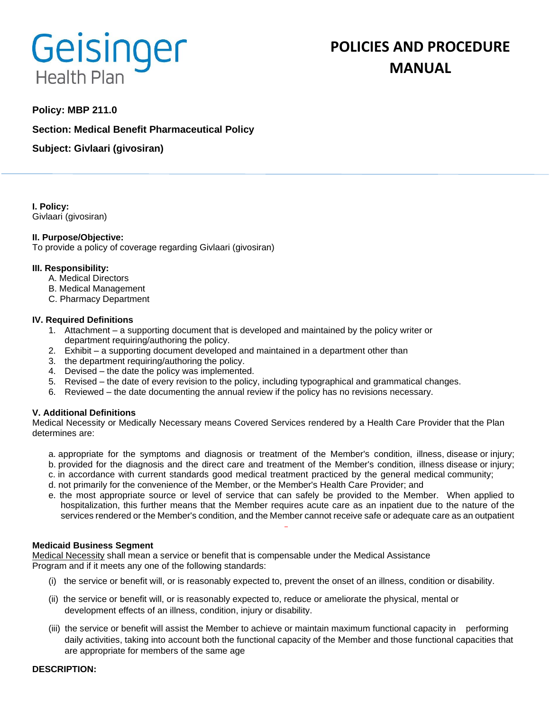# Geisinger **Health Plan**

# **POLICIES AND PROCEDURE MANUAL**

# **Policy: MBP 211.0**

**Section: Medical Benefit Pharmaceutical Policy**

**Subject: Givlaari (givosiran)**

**I. Policy:** Givlaari (givosiran)

#### **II. Purpose/Objective:**

To provide a policy of coverage regarding Givlaari (givosiran)

#### **III. Responsibility:**

- A. Medical Directors
- B. Medical Management
- C. Pharmacy Department

#### **IV. Required Definitions**

- 1. Attachment a supporting document that is developed and maintained by the policy writer or department requiring/authoring the policy.
- 2. Exhibit a supporting document developed and maintained in a department other than
- 3. the department requiring/authoring the policy.
- 4. Devised the date the policy was implemented.
- 5. Revised the date of every revision to the policy, including typographical and grammatical changes.
- 6. Reviewed the date documenting the annual review if the policy has no revisions necessary.

#### **V. Additional Definitions**

Medical Necessity or Medically Necessary means Covered Services rendered by a Health Care Provider that the Plan determines are:

- a. appropriate for the symptoms and diagnosis or treatment of the Member's condition, illness, disease or injury; b. provided for the diagnosis and the direct care and treatment of the Member's condition, illness disease or injury;
- c. in accordance with current standards good medical treatment practiced by the general medical community;
- d. not primarily for the convenience of the Member, or the Member's Health Care Provider; and
- e. the most appropriate source or level of service that can safely be provided to the Member. When applied to hospitalization, this further means that the Member requires acute care as an inpatient due to the nature of the services rendered or the Member's condition, and the Member cannot receive safe or adequate care as an outpatient

#### **Medicaid Business Segment**

Medical Necessity shall mean a service or benefit that is compensable under the Medical Assistance Program and if it meets any one of the following standards:

- (i) the service or benefit will, or is reasonably expected to, prevent the onset of an illness, condition or disability.
- (ii) the service or benefit will, or is reasonably expected to, reduce or ameliorate the physical, mental or development effects of an illness, condition, injury or disability.
- (iii) the service or benefit will assist the Member to achieve or maintain maximum functional capacity in performing daily activities, taking into account both the functional capacity of the Member and those functional capacities that are appropriate for members of the same age

#### **DESCRIPTION:**